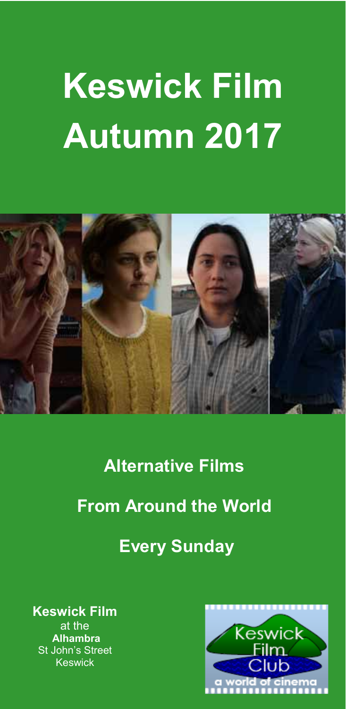# **Keswick Film Autumn 2017**



**Alternative Films** 

# **From Around the World**

# **Every Sunday**

**Keswick Film**  at the  **Alhambra**  St John's Street Keswick

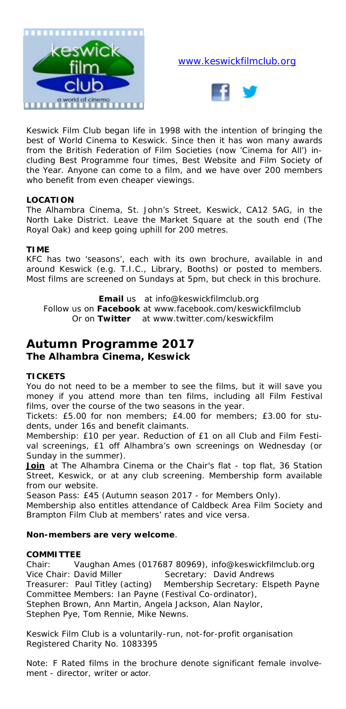

#### www.keswickfilmclub.org



Keswick Film Club began life in 1998 with the intention of bringing the best of World Cinema to Keswick. Since then it has won many awards from the British Federation of Film Societies (now 'Cinema for All') including Best Programme four times, Best Website and Film Society of the Year. Anyone can come to a film, and we have over 200 members who benefit from even cheaper viewings.

#### **LOCATION**

The Alhambra Cinema, St. John's Street, Keswick, CA12 5AG, in the North Lake District. Leave the Market Square at the south end (The Royal Oak) and keep going uphill for 200 metres.

#### **TIME**

KFC has two 'seasons', each with its own brochure, available in and around Keswick (e.g. T.I.C., Library, Booths) or posted to members. Most films are screened on Sundays at 5pm, but check in this brochure.

**Email** us at info@keswickfilmclub.org Follow us on **Facebook** at www.facebook.com/keswickfilmclub Or on **Twitter** at www.twitter.com/keswickfilm

#### **Autumn Programme 2017 The Alhambra Cinema, Keswick**

#### **TICKETS**

You do not need to be a member to see the films, but it will save you money if you attend more than ten films, including all Film Festival films, over the course of the two seasons in the year.

*Tickets:* £5.00 for non members; £4.00 for members; £3.00 for students, under 16s and benefit claimants.

*Membership:* £10 per year. Reduction of £1 on all Club and Film Festival screenings, £1 off Alhambra's own screenings on Wednesday (or Sunday in the summer).

**Join** at The Alhambra Cinema or the Chair's flat - top flat, 36 Station Street, Keswick, or at any club screening. Membership form available from our website.

*Season Pass:* £45 (Autumn season 2017 - for Members Only).

Membership also entitles attendance of Caldbeck Area Film Society and Brampton Film Club at members' rates and vice versa.

#### **Non-members are very welcome**.

#### **COMMITTEE**

Chair: Vaughan Ames (017687 80969), info@keswickfilmclub.org Vice Chair: David Miller Secretary: David Andrews Treasurer: Paul Titley (acting) Membership Secretary: Elspeth Payne Committee Members: Ian Payne (Festival Co-ordinator), Stephen Brown, Ann Martin, Angela Jackson, Alan Naylor, Stephen Pye, Tom Rennie, Mike Newns.

*Keswick Film Club is a voluntarily-run, not-for-profit organisation Registered Charity No. 1083395* 

Note: F Rated films in the brochure denote significant female involvement - director, writer or actor.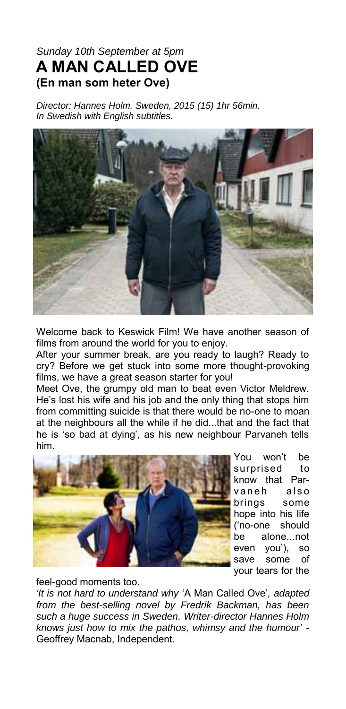#### *Sunday 10th September at 5pm*  **A MAN CALLED OVE (En man som heter Ove)**

*Director: Hannes Holm. Sweden, 2015 (15) 1hr 56min. In Swedish with English subtitles.* 



Welcome back to Keswick Film! We have another season of films from around the world for you to enjoy.

After your summer break, are you ready to laugh? Ready to cry? Before we get stuck into some more thought-provoking films, we have a great season starter for you!

Meet Ove, the grumpy old man to beat even Victor Meldrew. He's lost his wife and his job and the only thing that stops him from committing suicide is that there would be no-one to moan at the neighbours all the while if he did...that and the fact that he is 'so bad at dying', as his new neighbour Parvaneh tells him.



You won't be surprised to know that Parvaneh also brings some hope into his life ('no-one should be alone...not even you'), so save some of your tears for the

feel-good moments too.

*'It is not hard to understand why* 'A Man Called Ove'*, adapted from the best-selling novel by Fredrik Backman, has been such a huge success in Sweden. Writer-director Hannes Holm knows just how to mix the pathos, whimsy and the humour'* - Geoffrey Macnab, Independent.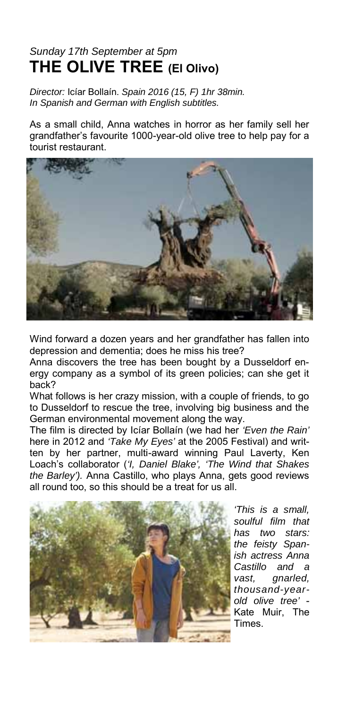# *Sunday 17th September at 5pm*  **THE OLIVE TREE (El Olivo)**

*Director:* Icíar Bollaín. *Spain 2016 (15, F) 1hr 38min. In Spanish and German with English subtitles.* 

As a small child, Anna watches in horror as her family sell her grandfather's favourite 1000-year-old olive tree to help pay for a tourist restaurant.



Wind forward a dozen years and her grandfather has fallen into depression and dementia; does he miss his tree?

Anna discovers the tree has been bought by a Dusseldorf energy company as a symbol of its green policies; can she get it back?

What follows is her crazy mission, with a couple of friends, to go to Dusseldorf to rescue the tree, involving big business and the German environmental movement along the way.

The film is directed by Icíar Bollaín (we had her *'Even the Rain'* here in 2012 and *'Take My Eyes'* at the 2005 Festival) and written by her partner, multi-award winning Paul Laverty, Ken Loach's collaborator (*'I, Daniel Blake', 'The Wind that Shakes the Barley').* Anna Castillo, who plays Anna, gets good reviews all round too, so this should be a treat for us all.



*'This is a small, soulful film that has two stars: the feisty Spanish actress Anna Castillo and a vast, gnarled, thousand-yearold olive tree'* - Kate Muir, The Times.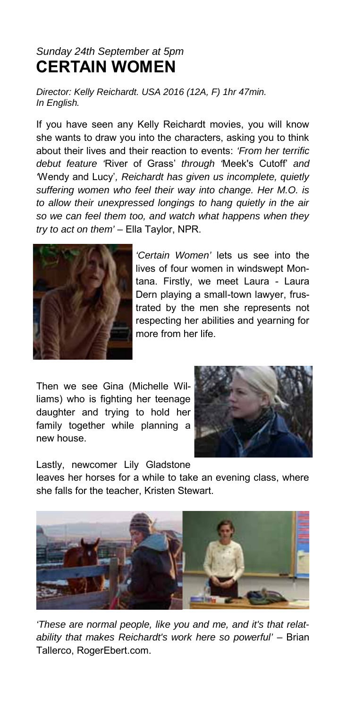# *Sunday 24th September at 5pm*  **CERTAIN WOMEN**

*Director: Kelly Reichardt. USA 2016 (12A, F) 1hr 47min. In English.* 

If you have seen any Kelly Reichardt movies, you will know she wants to draw you into the characters, asking you to think about their lives and their reaction to events: *'From her terrific debut feature '*River of Grass' *through '*Meek's Cutoff' *and '*Wendy and Lucy'*, Reichardt has given us incomplete, quietly suffering women who feel their way into change. Her M.O. is to allow their unexpressed longings to hang quietly in the air so we can feel them too, and watch what happens when they try to act on them'* – Ella Taylor, NPR.



*'Certain Women'* lets us see into the lives of four women in windswept Montana. Firstly, we meet Laura - Laura Dern playing a small-town lawyer, frustrated by the men she represents not respecting her abilities and yearning for more from her life.

Then we see Gina (Michelle Williams) who is fighting her teenage daughter and trying to hold her family together while planning a new house.



Lastly, newcomer Lily Gladstone

leaves her horses for a while to take an evening class, where she falls for the teacher, Kristen Stewart.



*'These are normal people, like you and me, and it's that relat*ability that makes Reichardt's work here so powerful' - Brian Tallerco, RogerEbert.com.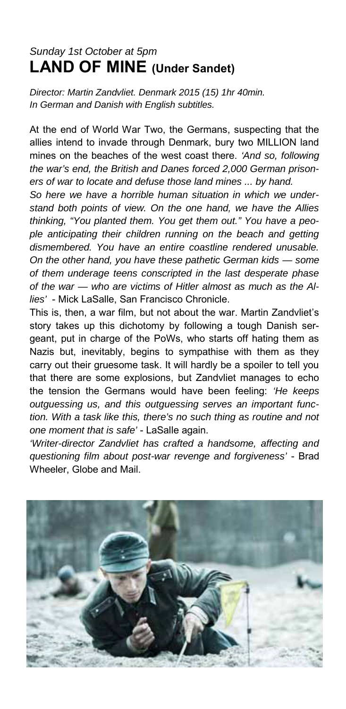# *Sunday 1st October at 5pm* **LAND OF MINE (Under Sandet)**

*Director: Martin Zandvliet. Denmark 2015 (15) 1hr 40min. In German and Danish with English subtitles.* 

At the end of World War Two, the Germans, suspecting that the allies intend to invade through Denmark, bury two MILLION land mines on the beaches of the west coast there. *'And so, following the war's end, the British and Danes forced 2,000 German prisoners of war to locate and defuse those land mines ... by hand.* 

*So here we have a horrible human situation in which we understand both points of view. On the one hand, we have the Allies thinking, "You planted them. You get them out." You have a people anticipating their children running on the beach and getting dismembered. You have an entire coastline rendered unusable. On the other hand, you have these pathetic German kids — some of them underage teens conscripted in the last desperate phase of the war — who are victims of Hitler almost as much as the Allies'* - Mick LaSalle, San Francisco Chronicle.

This is, then, a war film, but not about the war. Martin Zandvliet's story takes up this dichotomy by following a tough Danish sergeant, put in charge of the PoWs, who starts off hating them as Nazis but, inevitably, begins to sympathise with them as they carry out their gruesome task. It will hardly be a spoiler to tell you that there are some explosions, but Zandvliet manages to echo the tension the Germans would have been feeling: *'He keeps outguessing us, and this outguessing serves an important function. With a task like this, there's no such thing as routine and not one moment that is safe'* - LaSalle again.

*'Writer-director Zandvliet has crafted a handsome, affecting and questioning film about post-war revenge and forgiveness'* - Brad Wheeler, Globe and Mail.

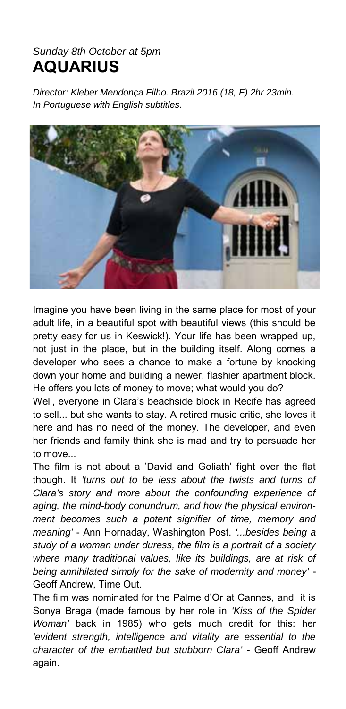#### *Sunday 8th October at 5pm*  **AQUARIUS**

*Director: Kleber Mendonça Filho. Brazil 2016 (18, F) 2hr 23min. In Portuguese with English subtitles.* 



Imagine you have been living in the same place for most of your adult life, in a beautiful spot with beautiful views (this should be pretty easy for us in Keswick!). Your life has been wrapped up, not just in the place, but in the building itself. Along comes a developer who sees a chance to make a fortune by knocking down your home and building a newer, flashier apartment block. He offers you lots of money to move; what would you do?

Well, everyone in Clara's beachside block in Recife has agreed to sell... but she wants to stay. A retired music critic, she loves it here and has no need of the money. The developer, and even her friends and family think she is mad and try to persuade her to move...

The film is not about a 'David and Goliath' fight over the flat though. It *'turns out to be less about the twists and turns of Clara's story and more about the confounding experience of aging, the mind-body conundrum, and how the physical environment becomes such a potent signifier of time, memory and meaning'* - Ann Hornaday, Washington Post. *'...besides being a study of a woman under duress, the film is a portrait of a society where many traditional values, like its buildings, are at risk of being annihilated simply for the sake of modernity and money'* - Geoff Andrew, Time Out.

The film was nominated for the Palme d'Or at Cannes, and it is Sonya Braga (made famous by her role in *'Kiss of the Spider Woman'* back in 1985) who gets much credit for this: her *'evident strength, intelligence and vitality are essential to the character of the embattled but stubborn Clara'* - Geoff Andrew again.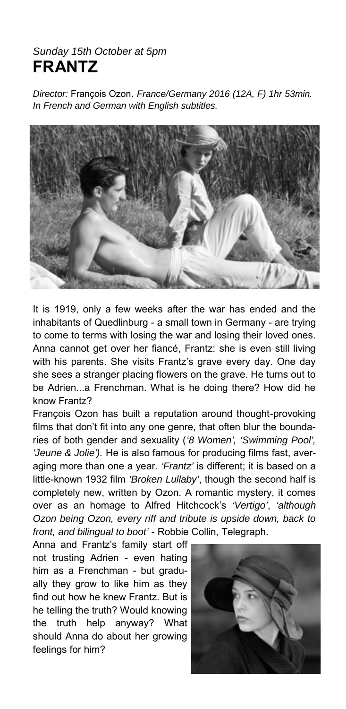#### *Sunday 15th October at 5pm*  **FRANTZ**

*Director:* François Ozon. *France/Germany 2016 (12A, F) 1hr 53min. In French and German with English subtitles.* 



It is 1919, only a few weeks after the war has ended and the inhabitants of Quedlinburg - a small town in Germany - are trying to come to terms with losing the war and losing their loved ones. Anna cannot get over her fiancé, Frantz: she is even still living with his parents. She visits Frantz's grave every day. One day she sees a stranger placing flowers on the grave. He turns out to be Adrien...a Frenchman. What is he doing there? How did he know Frantz?

François Ozon has built a reputation around thought-provoking films that don't fit into any one genre, that often blur the boundaries of both gender and sexuality (*'8 Women', 'Swimming Pool', 'Jeune & Jolie').* He is also famous for producing films fast, averaging more than one a year. *'Frantz'* is different; it is based on a little-known 1932 film *'Broken Lullaby'*, though the second half is completely new, written by Ozon. A romantic mystery, it comes over as an homage to Alfred Hitchcock's *'Vertigo'*, *'although Ozon being Ozon, every riff and tribute is upside down, back to front, and bilingual to boot'* - Robbie Collin, Telegraph.

Anna and Frantz's family start off not trusting Adrien - even hating him as a Frenchman - but gradually they grow to like him as they find out how he knew Frantz. But is he telling the truth? Would knowing the truth help anyway? What should Anna do about her growing feelings for him?

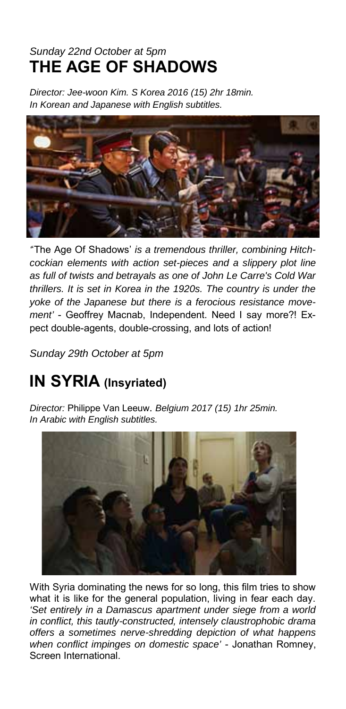# *Sunday 22nd October at 5pm*  **THE AGE OF SHADOWS**

*Director: Jee-woon Kim. S Korea 2016 (15) 2hr 18min. In Korean and Japanese with English subtitles.* 



*'*'The Age Of Shadows' *is a tremendous thriller, combining Hitchcockian elements with action set-pieces and a slippery plot line as full of twists and betrayals as one of John Le Carre's Cold War thrillers. It is set in Korea in the 1920s. The country is under the yoke of the Japanese but there is a ferocious resistance movement'* - Geoffrey Macnab, Independent. Need I say more?! Expect double-agents, double-crossing, and lots of action!

*Sunday 29th October at 5pm* 

# **IN SYRIA (Insyriated)**

*Director:* Philippe Van Leeuw. *Belgium 2017 (15) 1hr 25min. In Arabic with English subtitles.* 



With Syria dominating the news for so long, this film tries to show what it is like for the general population, living in fear each day. *'Set entirely in a Damascus apartment under siege from a world in conflict, this tautly-constructed, intensely claustrophobic drama offers a sometimes nerve-shredding depiction of what happens when conflict impinges on domestic space'* - Jonathan Romney, Screen International.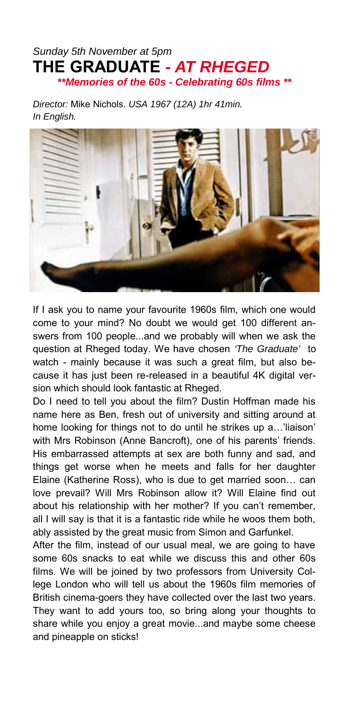#### *Sunday 5th November at 5pm*  **THE GRADUATE** *- AT RHEGED \*\*Memories of the 60s - Celebrating 60s films \*\**

*Director:* Mike Nichols. *USA 1967 (12A) 1hr 41min. In English.* 



If I ask you to name your favourite 1960s film, which one would come to your mind? No doubt we would get 100 different answers from 100 people...and we probably will when we ask the question at Rheged today. We have chosen *'The Graduate'* to watch - mainly because it was such a great film, but also because it has just been re-released in a beautiful 4K digital version which should look fantastic at Rheged.

Do I need to tell you about the film? Dustin Hoffman made his name here as Ben, fresh out of university and sitting around at home looking for things not to do until he strikes up a…'liaison' with Mrs Robinson (Anne Bancroft), one of his parents' friends. His embarrassed attempts at sex are both funny and sad, and things get worse when he meets and falls for her daughter Elaine (Katherine Ross), who is due to get married soon… can love prevail? Will Mrs Robinson allow it? Will Elaine find out about his relationship with her mother? If you can't remember, all I will say is that it is a fantastic ride while he woos them both, ably assisted by the great music from Simon and Garfunkel.

After the film, instead of our usual meal, we are going to have some 60s snacks to eat while we discuss this and other 60s films. We will be joined by two professors from University College London who will tell us about the 1960s film memories of British cinema-goers they have collected over the last two years. They want to add yours too, so bring along your thoughts to share while you enjoy a great movie...and maybe some cheese and pineapple on sticks!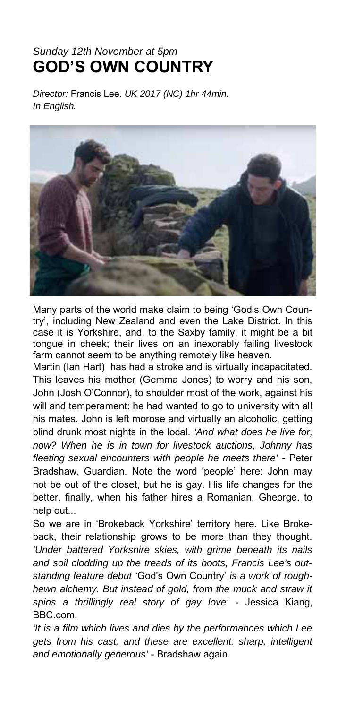## *Sunday 12th November at 5pm*  **GOD'S OWN COUNTRY**

*Director:* Francis Lee. *UK 2017 (NC) 1hr 44min. In English.* 



Many parts of the world make claim to being 'God's Own Country', including New Zealand and even the Lake District. In this case it is Yorkshire, and, to the Saxby family, it might be a bit tongue in cheek; their lives on an inexorably failing livestock farm cannot seem to be anything remotely like heaven.

Martin (Ian Hart) has had a stroke and is virtually incapacitated. This leaves his mother (Gemma Jones) to worry and his son, John (Josh O'Connor), to shoulder most of the work, against his will and temperament: he had wanted to go to university with all his mates. John is left morose and virtually an alcoholic, getting blind drunk most nights in the local. *'And what does he live for, now? When he is in town for livestock auctions, Johnny has fleeting sexual encounters with people he meets there'* - Peter Bradshaw, Guardian. Note the word 'people' here: John may not be out of the closet, but he is gay. His life changes for the better, finally, when his father hires a Romanian, Gheorge, to help out...

So we are in 'Brokeback Yorkshire' territory here. Like Brokeback, their relationship grows to be more than they thought. *'Under battered Yorkshire skies, with grime beneath its nails and soil clodding up the treads of its boots, Francis Lee's outstanding feature debut* 'God's Own Country' *is a work of roughhewn alchemy. But instead of gold, from the muck and straw it spins a thrillingly real story of gay love'* - Jessica Kiang, BBC.com.

*'It is a film which lives and dies by the performances which Lee gets from his cast, and these are excellent: sharp, intelligent and emotionally generous'* - Bradshaw again.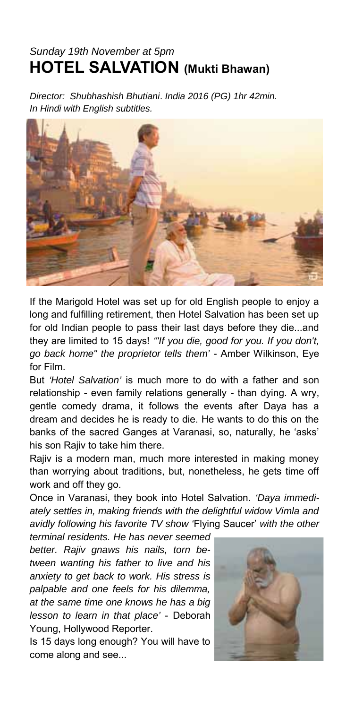# *Sunday 19th November at 5pm*  **HOTEL SALVATION (Mukti Bhawan)**

*Director: Shubhashish Bhutiani*. *India 2016 (PG) 1hr 42min. In Hindi with English subtitles.* 



If the Marigold Hotel was set up for old English people to enjoy a long and fulfilling retirement, then Hotel Salvation has been set up for old Indian people to pass their last days before they die...and they are limited to 15 days! *'"If you die, good for you. If you don't, go back home" the proprietor tells them'* - Amber Wilkinson, Eye for Film.

But *'Hotel Salvation'* is much more to do with a father and son relationship - even family relations generally - than dying. A wry, gentle comedy drama, it follows the events after Daya has a dream and decides he is ready to die. He wants to do this on the banks of the sacred Ganges at Varanasi, so, naturally, he 'asks' his son Rajiv to take him there.

Rajiv is a modern man, much more interested in making money than worrying about traditions, but, nonetheless, he gets time off work and off they go.

Once in Varanasi, they book into Hotel Salvation. *'Daya immediately settles in, making friends with the delightful widow Vimla and avidly following his favorite TV show '*Flying Saucer' *with the other* 

*terminal residents. He has never seemed better. Rajiv gnaws his nails, torn between wanting his father to live and his anxiety to get back to work. His stress is palpable and one feels for his dilemma, at the same time one knows he has a big lesson to learn in that place'* - Deborah Young, Hollywood Reporter.

Is 15 days long enough? You will have to come along and see...

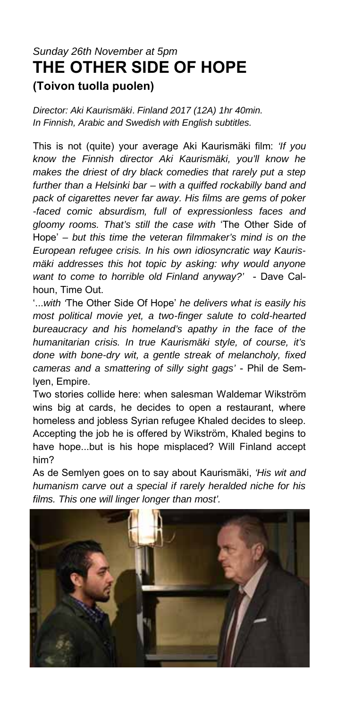# *Sunday 26th November at 5pm*  **THE OTHER SIDE OF HOPE (Toivon tuolla puolen)**

*Director: Aki Kaurismäki*. *Finland 2017 (12A) 1hr 40min. In Finnish, Arabic and Swedish with English subtitles.* 

This is not (quite) your average Aki Kaurismäki film: *'If you know the Finnish director Aki Kaurismäki, you'll know he makes the driest of dry black comedies that rarely put a step further than a Helsinki bar – with a quiffed rockabilly band and pack of cigarettes never far away. His films are gems of poker -faced comic absurdism, full of expressionless faces and gloomy rooms. That's still the case with* 'The Other Side of Hope' *– but this time the veteran filmmaker's mind is on the European refugee crisis. In his own idiosyncratic way Kaurismäki addresses this hot topic by asking: why would anyone want to come to horrible old Finland anyway?'* - Dave Calhoun, Time Out.

'...*with '*The Other Side Of Hope' *he delivers what is easily his most political movie yet, a two-finger salute to cold-hearted bureaucracy and his homeland's apathy in the face of the humanitarian crisis. In true Kaurismäki style, of course, it's done with bone-dry wit, a gentle streak of melancholy, fixed cameras and a smattering of silly sight gags'* - Phil de Semlyen, Empire.

Two stories collide here: when salesman Waldemar Wikström wins big at cards, he decides to open a restaurant, where homeless and jobless Syrian refugee Khaled decides to sleep. Accepting the job he is offered by Wikström, Khaled begins to have hope...but is his hope misplaced? Will Finland accept him?

As de Semlyen goes on to say about Kaurismäki, *'His wit and humanism carve out a special if rarely heralded niche for his films. This one will linger longer than most'.*

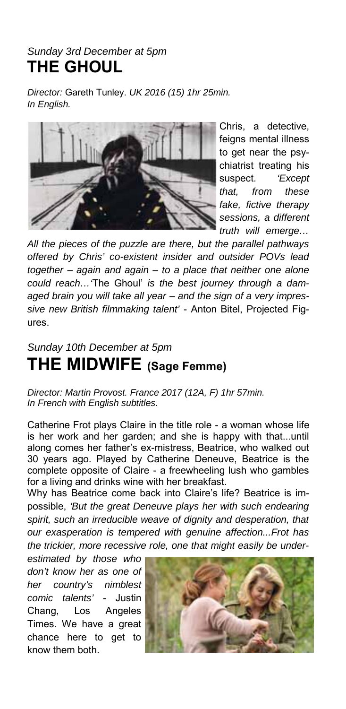#### *Sunday 3rd December at 5pm*  **THE GHOUL**

*Director:* Gareth Tunley. *UK 2016 (15) 1hr 25min. In English.* 



Chris, a detective, feigns mental illness to get near the psychiatrist treating his suspect. *'Except that, from these fake, fictive therapy sessions, a different truth will emerge…*

*All the pieces of the puzzle are there, but the parallel pathways offered by Chris' co-existent insider and outsider POVs lead together – again and again – to a place that neither one alone could reach…'*The Ghoul' *is the best journey through a damaged brain you will take all year – and the sign of a very impressive new British filmmaking talent'* - Anton Bitel, Projected Figures.

#### *Sunday 10th December at 5pm*  **THE MIDWIFE (Sage Femme)**

*Director: Martin Provost. France 2017 (12A, F) 1hr 57min. In French with English subtitles.* 

Catherine Frot plays Claire in the title role - a woman whose life is her work and her garden; and she is happy with that...until along comes her father's ex-mistress, Beatrice, who walked out 30 years ago. Played by Catherine Deneuve, Beatrice is the complete opposite of Claire - a freewheeling lush who gambles for a living and drinks wine with her breakfast.

Why has Beatrice come back into Claire's life? Beatrice is impossible, *'But the great Deneuve plays her with such endearing spirit, such an irreducible weave of dignity and desperation, that our exasperation is tempered with genuine affection...Frot has the trickier, more recessive role, one that might easily be under-*

*estimated by those who don't know her as one of her country's nimblest comic talents'* - Justin Chang, Los Angeles Times. We have a great chance here to get to know them both.

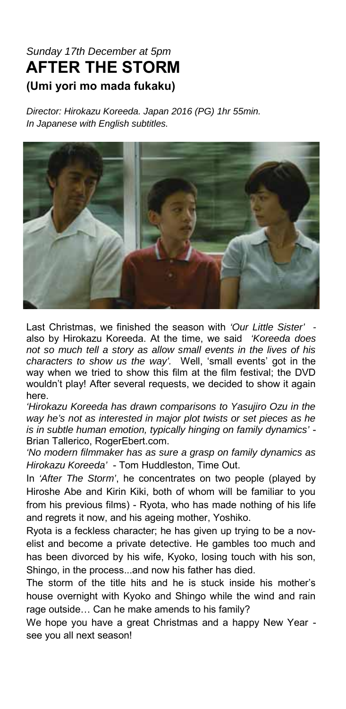# *Sunday 17th December at 5pm* **AFTER THE STORM (Umi yori mo mada fukaku)**

*Director: Hirokazu Koreeda. Japan 2016 (PG) 1hr 55min. In Japanese with English subtitles.* 



Last Christmas, we finished the season with *'Our Little Sister'*  also by Hirokazu Koreeda. At the time, we said *'Koreeda does not so much tell a story as allow small events in the lives of his characters to show us the way'.* Well, 'small events' got in the way when we tried to show this film at the film festival; the DVD wouldn't play! After several requests, we decided to show it again here.

*'Hirokazu Koreeda has drawn comparisons to Yasujiro Ozu in the way he's not as interested in major plot twists or set pieces as he is in subtle human emotion, typically hinging on family dynamics'* - Brian Tallerico, RogerEbert.com.

*'No modern filmmaker has as sure a grasp on family dynamics as Hirokazu Koreeda'* - Tom Huddleston, Time Out.

In *'After The Storm'*, he concentrates on two people (played by Hiroshe Abe and Kirin Kiki, both of whom will be familiar to you from his previous films) - Ryota, who has made nothing of his life and regrets it now, and his ageing mother, Yoshiko.

Ryota is a feckless character; he has given up trying to be a novelist and become a private detective. He gambles too much and has been divorced by his wife, Kyoko, losing touch with his son, Shingo, in the process...and now his father has died.

The storm of the title hits and he is stuck inside his mother's house overnight with Kyoko and Shingo while the wind and rain rage outside… Can he make amends to his family?

We hope you have a great Christmas and a happy New Year see you all next season!